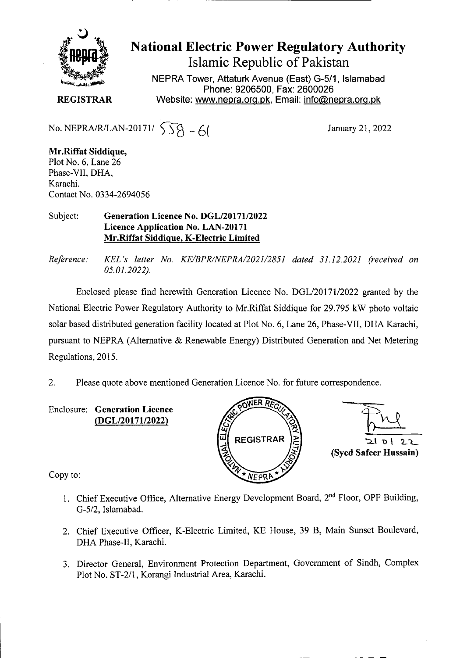

National Electric Power Regulatory Authority Islamic Republic of Pakistan

**NEPRA Tower, Attaturk Avenue (East) G-5/1, Islamabad Phone: 9206500, Fax: 2600026 REGISTRAR** Website: www.nepra.org.pk, Email: info@nepra.org.pk

No. NEPRA/R/LAN-20171/  $\sqrt{8} - 6$  January 21, 2022

**Mr.Riffat Siddique,**  Plot No. 6, Lane 26 Phase-VII, DHA, Karachi. Contact No. 03 34-2694056

## Subject: **Generation Licence No. DGL/20171/2022 Licence Application No. LAN-20171 Mr.Riffat Siddicue, K-Electric Limited**

*Reference: KEL 's letter No. KE/BPR/NEPRA/2021/2851 dated 31.12.2021 (received on 05.01.2022).* 

Enclosed please find herewith Generation Licence No. DGL/20171/2022 granted by the National Electric Power Regulatory Authority to Mr.Riffat Siddique for *29.795* kW photo voltaic solar based distributed generation facility located at Plot No. 6, Lane 26, Phase-Vu, DHA Karachi, pursuant to NEPRA (Alternative & Renewable Energy) Distributed Generation and Net Metering Regulations, 2015.

2. Please quote above mentioned Generation Licence No. for future correspondence.

Enclosure: **Generation Licence**  *(DGL12017112022)* 



긔 이 2.L **(Syed Safeer Hussain)** 

Copy to:

- 1. Chief Executive Office, Alternative Energy Development Board, 2<sup>nd</sup> Floor, OPF Building, G-5/2, Islamabad.
- 2. Chief Executive Officer, K-Electric Limited, KE House, 39 B, Main Sunset Boulevard, DHA Phase-Il, Karachi.
- 3. Director General, Environment Protection Department, Government of Sindh, Complex Plot No. ST-2/1, Korangi Industrial Area, Karachi.